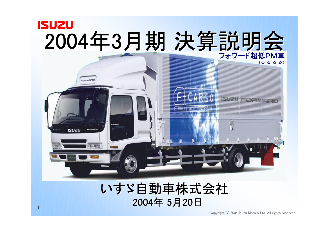

## いすゞ自動車株式会社 2004年 5月20日

1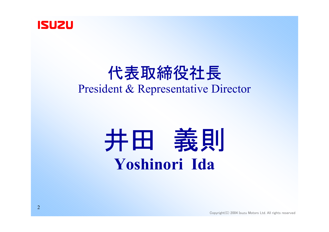

# 代表取締役社長 President & Representative Director

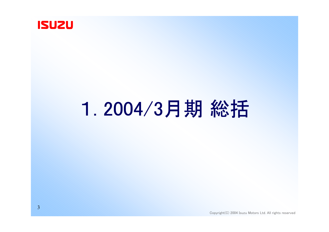

# 1. 2004/3月期 総括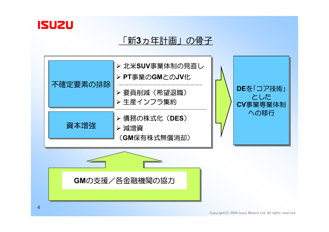

#### 「新**3**ヵ年計画」の骨子



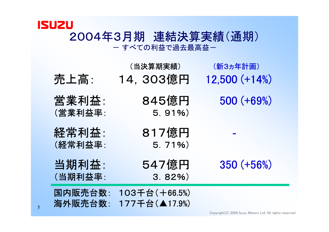#### **ISUZU** 2004年3月期 連結決算実績(通期) - すべての利益で過去最高益-

| 売上高:               | (当決算期実績)<br>14, 303億円           | (新3ヵ年計画)<br>$12,500 (+14%)$ |
|--------------------|---------------------------------|-----------------------------|
| 営業利益:<br>(営業利益率:   | 845億円<br>$5.91\%$               | 500 (+69%)                  |
| 経常利益:<br>(経常利益率:   | 817億円<br>5.71%                  |                             |
| 当期利益:<br>(当期利益率:   | 547億円<br>3.82%                  | 350 (+56%)                  |
| 国内販売台数:<br>海外販売台数: | 103千台 (+66.5%)<br>177千台(▲17.9%) |                             |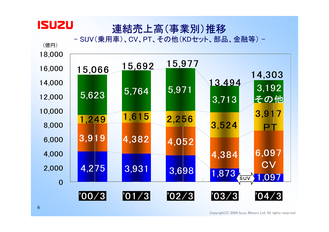## 連結売上高(事業別)推移

- SUV(乗用車)、CV、PT、その他(KDセット、部品、金融等) -



**ISUZU**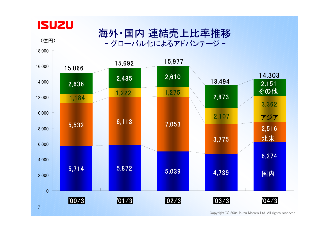

18,000

(億円)

海外・国内 連結売上比率推移 - グローバル化によるアドバンテージ -

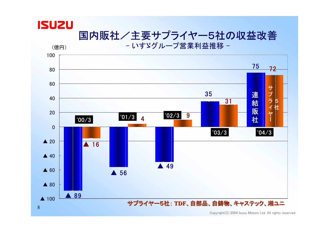## **ISUZU** 国内販社/主要サプライヤー5社の収益改善

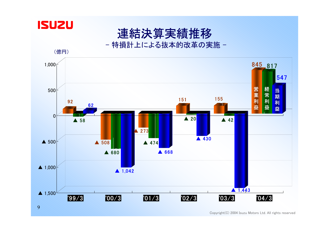



特損計上による抜本的改革の実施 -

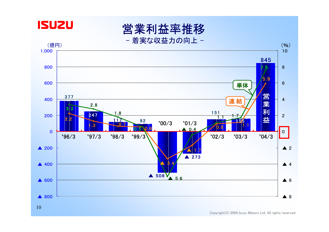

営業利益率推移

- 着実な収益力の向上 -

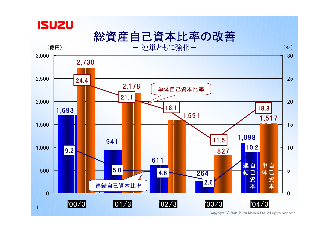

# 総資産自己資本比率の改善

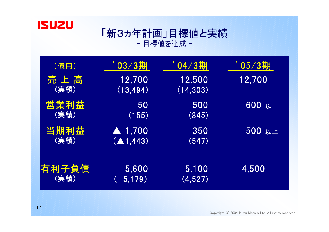

## 「新3ヵ年計画」目標値と実績 - 目標値を達成 -

| (億円)  | $03/3$ 期               | ' 04/3期   | ' 05 ⁄ 3期 |
|-------|------------------------|-----------|-----------|
| 売上高   | 12,700                 | 12,500    | 12,700    |
| (実績)  | (13, 494)              | (14, 303) |           |
| 営業利益  | 50                     | 500       | 600 以上    |
| (実績)  | (155)                  | (845)     |           |
| 当期利益  | $\blacktriangle$ 1,700 | 350       | 500 以上    |
| (実績)  | (A1, 443)              | (547)     |           |
| 有利子負債 | 5,600                  | 5,100     | 4,500     |
| (実績)  | 5,179)                 | (4,527)   |           |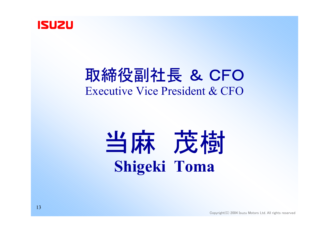

# 取締役副社長 & CFO Executive Vice President & CFO

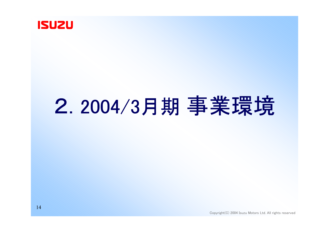

# 2. 2004/3月期 事業環境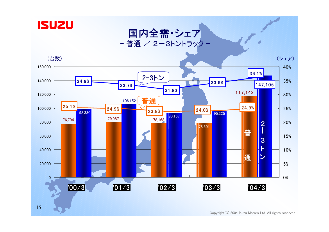

#### 国内全需・シェア - 普通 / 2-3トントラック -

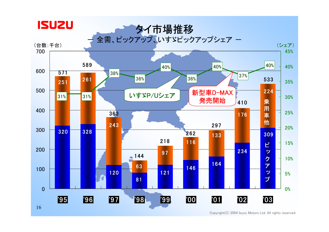

Copyright(C) 2004 Isuzu Motors Ltd. All rights reserved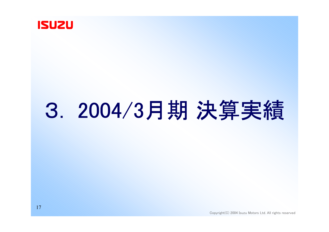

# 3. 2004/3月期 決算実績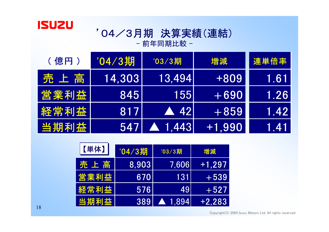

## '04/3月期 決算実績(連結) - 前年同期比較 -

| (億円) | '04/3期        | '03/3期                 | 増減       | 連単倍率 |
|------|---------------|------------------------|----------|------|
| 売上高  | <b>14.303</b> | 13.4941                | +809     | 1.61 |
| 営業利益 | 845           | 1551                   | $+690$   | 1.26 |
| 経常利益 | 8171          | $\blacktriangle$ 421   | $+859$   | 1.42 |
| 当期利益 | 547           | $\blacktriangle$ 1.443 | $+1.990$ | 1.41 |

| 【単体】  | '04/3期 | '03/3期         | 増減       |
|-------|--------|----------------|----------|
| 売 上 高 | 8.903  | 7.606          | $+1.297$ |
| 営業利益  | 670    | 131            | $+539$   |
| 経常利益  | 576    | 491            | $+527$   |
| 当期利益  | 389    | <b>A</b> 1.894 | $+2,283$ |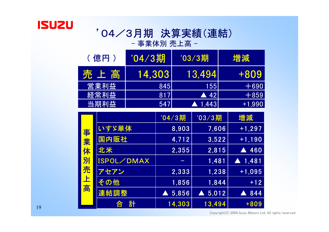

## '04/3月期 決算実績(連結) - 事業体別 売上高 -

| (億円) | '04/3期 | $'03/3$ 期           | 増減       |
|------|--------|---------------------|----------|
| 売上高  | 14,303 | 13.4941             | +809     |
| 営業利益 | 8451   | 1551                | $+690$   |
| 経常利益 | 817    | $\blacktriangle$ 42 | $+859$   |
| 当期利益 | 547    | ▲ 1.4431            | $+1,990$ |

|    |            | '04/3期                        | '03/3期                    | 増減                |
|----|------------|-------------------------------|---------------------------|-------------------|
|    | いすゞ単体      | 8,903                         | 7,606                     | $+1,297$          |
| 事業 | 国内販社       | 4,712                         | 3,522                     | $+1,190$          |
| 体  | 北米         | 2,355                         | 2,815                     | 460<br>A          |
| 別  | ISPOL/DMAX |                               | 1,481                     | $\triangle$ 1,481 |
| 売  | アセアン       | 2,333                         | 1,238                     | $+1,095$          |
| 上高 | その他        | 1,856                         | 1,844                     | $+12$             |
|    | 連結調整       | 5,856<br>$\blacktriangledown$ | 5,012<br>$\blacktriangle$ | 844               |
|    | 計<br>合     | 14,303                        | 13,494                    | $+809$            |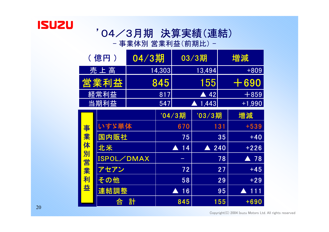

#### '04/3月期 決算実績(連結) - 事業体別 営業利益(前期比) -

|        | (億円)              | $\overline{04/3$ 期 |        |         | 03/3期                     |     | 増減                  |
|--------|-------------------|--------------------|--------|---------|---------------------------|-----|---------------------|
|        | 売上高               |                    | 14,303 |         | 13,494                    |     | $+809$              |
|        | 営業利益              |                    | 845    |         | 155                       |     | 690                 |
|        | 経常利益              |                    | 817    |         | $\triangle$ 42            |     | $+859$              |
|        | 当期利益              |                    | 547    |         | 1,443<br>$\blacktriangle$ |     | $+1,990$            |
|        |                   |                    |        | '04/3期  | '03/3期                    |     | 増減                  |
| 事      | いすゞ単体             |                    |        | 670     |                           | 131 | $+539$              |
| 業      | 国内販社              |                    |        | 75      |                           | 35  | $+40$               |
| 体      | 北米                |                    |        | 14<br>A | A                         | 240 | $+226$              |
| 別<br>営 | <b>ISPOL/DMAX</b> |                    |        | -       |                           | 78  | $\blacktriangle$ 78 |
| 業      | アセアン              |                    |        | 72      |                           | 27  | $+45$               |
| 利      | その他               |                    |        | 58      |                           | 29  | $+29$               |
| 益      | 連結調整              |                    |        | 16      |                           | 95  | 111<br>A            |
|        | 合                 | 計                  |        | 845     |                           | 155 | +690                |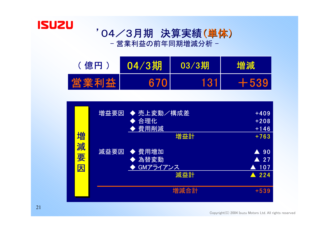

### '04/3月期 決算実績(単体) - 営業利益の前年同期増減分析 -



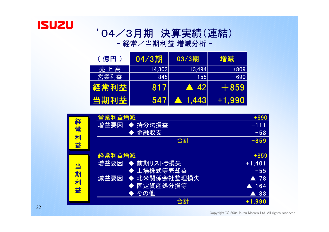

### '04/3月期 決算実績(連結) - 経常/当期利益 増減分析 −

| (億円) | $04/3$ 期 | $03/3$ 期            | 増減        |
|------|----------|---------------------|-----------|
| 売上高  | 14,303   | 13.494              | $+809$    |
| 営業利益 | 845      | 1551                | $\pm 690$ |
| 経常利益 | 817      | $\blacktriangle$ 42 | EF 859    |
| 当期利益 | 547      | <b>A</b> 1.443      | +1.990    |

|        | 営業利益増減               | $+690$              |
|--------|----------------------|---------------------|
| 経      | 増益要因 ◆ 持分法損益         | $+111$              |
| 常      | <b> 金融収支</b>         | $+58$               |
| 利<br>益 | 合計                   | $+859$              |
|        | 経常利益増減               | $+859$              |
| 当      | ◆ 前期リストラ損失<br>増益要因   | $+1,401$            |
| 期      | ◆ 上場株式等売却益           | $+55$               |
|        | ◆ 北米関係会社整理損失<br>減益要因 | $\blacktriangle$ 78 |
| 利      | ◆ 固定資産処分損等           | 164                 |
| 益      | ◆ その他                | 83<br>A             |
|        | 合計                   | $+1,990$            |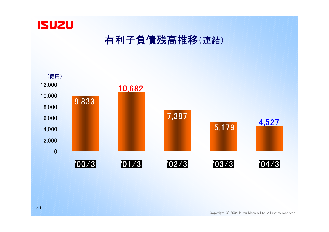

## 有利子負債残高推移(連結)

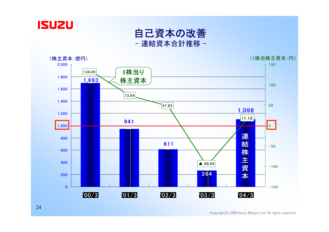

自己資本の改善 - 連結資本合計推移 -

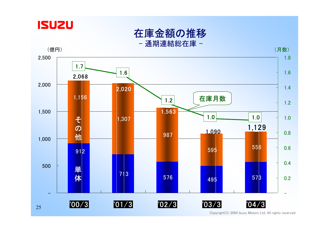

在庫金額の推移

| 通期連結総在庫 |  |
|---------|--|
|---------|--|











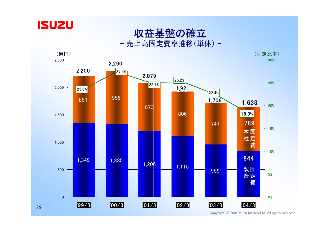

# 収益基盤の確立

売上高固定費率推移(単体) -

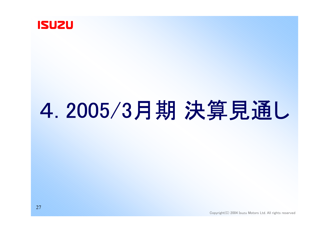

# 4. 2005/3月期 決算見通し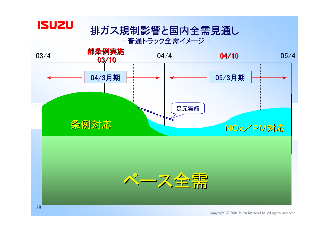

## 排ガス規制影響と国内全需見通し

- 普通トラック全需イメージ -

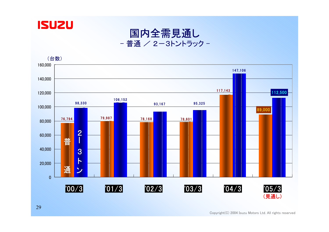



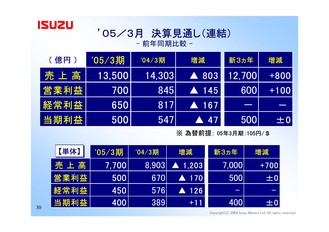

## '05/3月 決算見通し(連結) - 前年同期比較 -

| (億円) | '05/3期 | '04/3期 | 増減                   | 新3ヵ年   | 増減      |
|------|--------|--------|----------------------|--------|---------|
| 売上高  | 13,500 | 14,303 | ▲ 803                | 12,700 | $+800$  |
| 営業利益 | 7001   | 845    | $\blacktriangle$ 145 | 6001   | $+100$  |
| 経常利益 | 6501   | 817    | 167                  | $\sim$ |         |
| 当期利益 | 500    | 5471   | 47                   | 500    | $\pm 0$ |

#### ※ 為替前提: 05年3月期:105円/\$

| 【単体】         | '05/3期      | '04/3期 | 増減                     | 新3ヵ年  | 増減      |
|--------------|-------------|--------|------------------------|-------|---------|
| 売上高          | 7,700       | 8,903  | $\blacktriangle$ 1.203 | 7,000 | $+700$  |
| 営業利益         | 5001        | 6701   | A 170                  | 500   | $\pm 0$ |
| <b> 経常利益</b> | 4501        | 576    | <b>AM126</b>           |       |         |
| 当期利益         | <b>4001</b> | 3891   | $+11$                  | 400   | $\pm 0$ |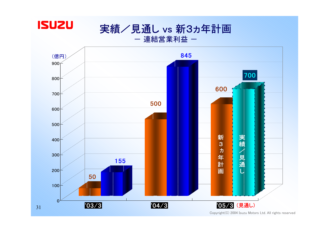

実績/見通し vs 新3ヵ年計画

ー 連結営業利益 ー

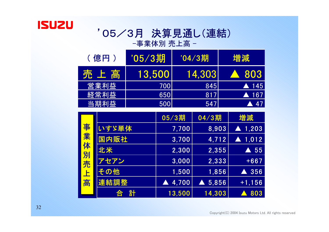

### '05/3月 決算見通し(連結) -事業体別 売上高 -

| (億円) | '05/3期 | '04/3期 | 増減                   |
|------|--------|--------|----------------------|
| 売上高  | 13,500 | 14,303 | 803                  |
| 営業利益 | 700    | 845    | $\blacktriangle$ 145 |
| 経常利益 | 650    | 817    | . 167                |
| 当期利益 | 500    | 547    | <b>47</b>            |

|                  |        | 05/3期  | 04/3期  | 増減                     |
|------------------|--------|--------|--------|------------------------|
| 事<br>業<br>体<br>別 | いすゞ単体  | 7,700  | 8,903  | $\blacktriangle$ 1,203 |
|                  | 国内販社   | 3,700  | 4,712  | $\blacktriangle$ 1,012 |
|                  | 北米     | 2,300  | 2,355  | 55<br>A                |
| 売                | アセアン   | 3,000  | 2.333  | $+667$                 |
| 上<br>高           | その他    | 1,500  | 1,856  | 356                    |
|                  | 連結調整   | 4,700  | 5,856  | $+1,156$               |
|                  | 計<br>合 | 13,500 | 14,303 | 803                    |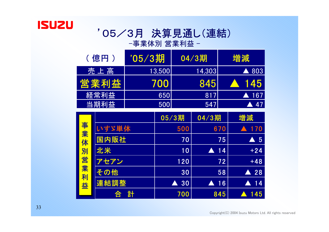

# '05/3月 決算見通し(連結)

-事業体別 営業利益 -

| (億円) | '05/3期 | $04/3$ 期 | 増減        |
|------|--------|----------|-----------|
| 売上高  | 13,500 | 14,303   | A 803     |
| 営業利益 | 700    | 845      | 145       |
| 経常利益 | 6501   | 817      | 167       |
| 当期利益 | 500    | 547      | <b>47</b> |

|       |        | 05/3期   | 04/3期   | 増減                 |
|-------|--------|---------|---------|--------------------|
| 事業体   | いすゞ単体  | 500     | 670     | 170                |
|       | 国内販社   | 70      | 75      | $\blacktriangle$ 5 |
|       | 北米     | 10      | 14<br>A | $+24$              |
|       | アセアン   | 120     | 72      | $+48$              |
| 別営業利益 | その他    | 30      | 58      | $\triangle$ 28     |
|       | 連結調整   | 30<br>A | 16<br>A | 14                 |
|       | 計<br>合 | 700     | 845     | 145                |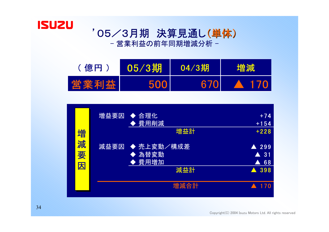

#### '05/3月期 決算見通し(単体) - 営業利益の前年同期増減分析 -



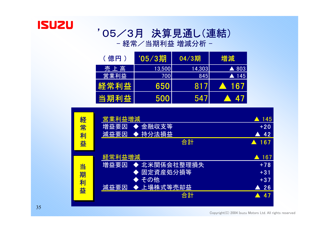

#### '05/3月 決算見通し(連結) - 経常/当期利益 増減分析 −

| (億円) | '05/3期 | $04/3$ 期 | 増減                   |
|------|--------|----------|----------------------|
| 売上高  | 13,500 | 14,303   | $\triangle$ 803      |
| 営業利益 | 700    | 845      | $\blacktriangle$ 145 |
| 経常利益 | 650    | 817      | 167                  |
| 当期利益 | 500    | 547      | - 47                 |

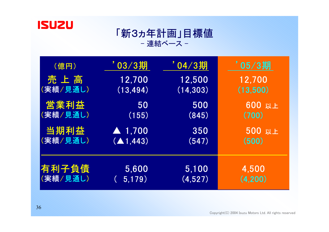

#### 「新3ヵ年計画」目標値 - 連結ベース -

| (億円)     | 703/3期                 | ' 04 ⁄ 3期 | ' 05/3期  |
|----------|------------------------|-----------|----------|
| 売上高      | 12,700                 | 12,500    | 12,700   |
| (実績/見通し) | (13, 494)              | (14, 303) | (13,500) |
| 営業利益     | 50                     | 500       | 600 以上   |
| (実績/見通し) | (155)                  | (845)     | (700)    |
| 当期利益     | $\blacktriangle$ 1,700 | 350       | 500 以上   |
| (実績/見通し) | (41, 443)              | (547)     | (500)    |
| 有利子負債    | 5,600                  | 5,100     | 4,500    |
| (実績/見通し) | 5,179)                 | (4,527)   | (4, 200) |